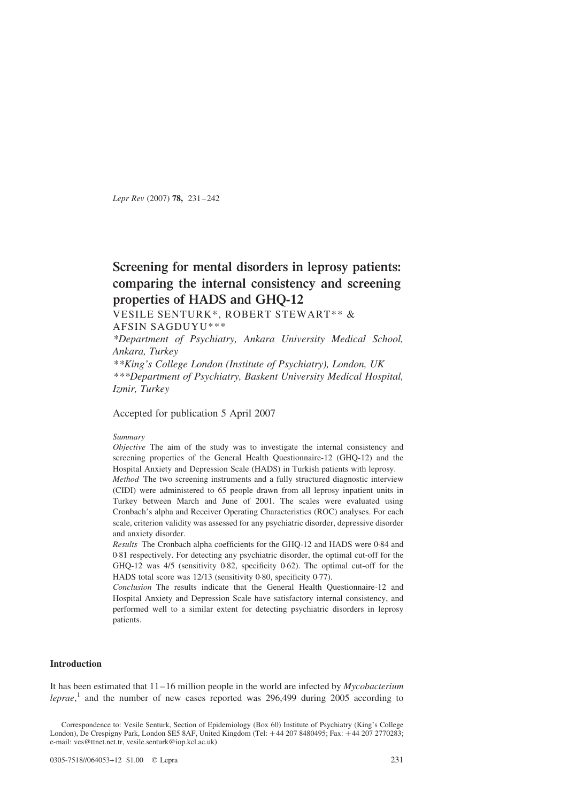Lepr Rev (2007) 78, 231–242

# Screening for mental disorders in leprosy patients: comparing the internal consistency and screening properties of HADS and GHQ-12

VESILE SENTURK\*, ROBERT STEWART\*\* &

AFSIN SAGDUYU\*\*\*

\*Department of Psychiatry, Ankara University Medical School, Ankara, Turkey

\*\*King's College London (Institute of Psychiatry), London, UK \*\*\*Department of Psychiatry, Baskent University Medical Hospital, Izmir, Turkey

Accepted for publication 5 April 2007

### Summary

Objective The aim of the study was to investigate the internal consistency and screening properties of the General Health Questionnaire-12 (GHQ-12) and the Hospital Anxiety and Depression Scale (HADS) in Turkish patients with leprosy.

Method The two screening instruments and a fully structured diagnostic interview (CIDI) were administered to 65 people drawn from all leprosy inpatient units in Turkey between March and June of 2001. The scales were evaluated using Cronbach's alpha and Receiver Operating Characteristics (ROC) analyses. For each scale, criterion validity was assessed for any psychiatric disorder, depressive disorder and anxiety disorder.

Results The Cronbach alpha coefficients for the GHQ-12 and HADS were 0·84 and 0·81 respectively. For detecting any psychiatric disorder, the optimal cut-off for the GHQ-12 was 4/5 (sensitivity 0·82, specificity 0·62). The optimal cut-off for the HADS total score was 12/13 (sensitivity 0·80, specificity 0·77).

Conclusion The results indicate that the General Health Questionnaire-12 and Hospital Anxiety and Depression Scale have satisfactory internal consistency, and performed well to a similar extent for detecting psychiatric disorders in leprosy patients.

# Introduction

It has been estimated that  $11-16$  million people in the world are infected by *Mycobacterium* leprae,<sup>[1](#page-8-0)</sup> and the number of new cases reported was 296,499 during 2005 according to

Correspondence to: Vesile Senturk, Section of Epidemiology (Box 60) Institute of Psychiatry (King's College London), De Crespigny Park, London SE5 8AF, United Kingdom (Tel: +44 207 8480495; Fax: +44 207 2770283; e-mail: ves@ttnet.net.tr, vesile.senturk@iop.kcl.ac.uk)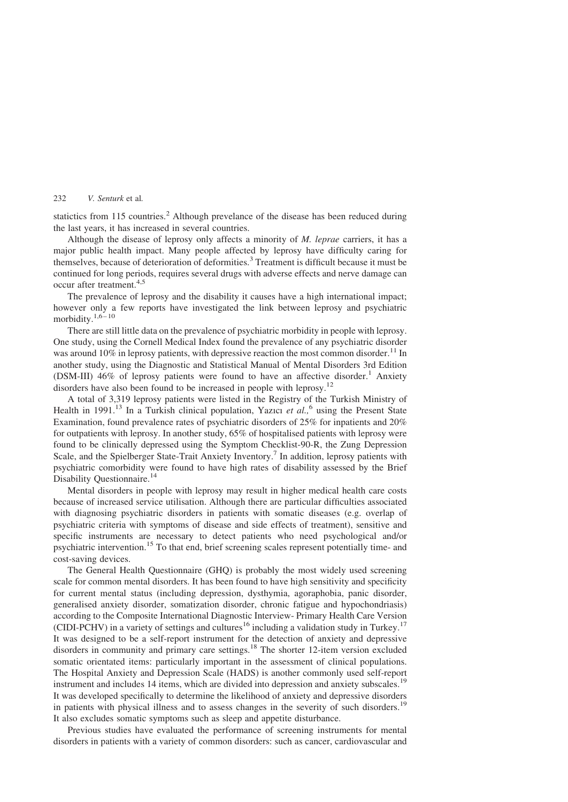statictics from 115 countries.<sup>[2](#page-8-0)</sup> Although prevelance of the disease has been reduced during the last years, it has increased in several countries.

Although the disease of leprosy only affects a minority of  $M$ . *leprae* carriers, it has a major public health impact. Many people affected by leprosy have difficulty caring for themselves, because of deterioration of deformities.<sup>[3](#page-8-0)</sup> Treatment is difficult because it must be continued for long periods, requires several drugs with adverse effects and nerve damage can occur after treatment.<sup>[4,5](#page-8-0)</sup>

The prevalence of leprosy and the disability it causes have a high international impact; however only a few reports have investigated the link between leprosy and psychiatric morbidity. $1,6 - 10$ 

There are still little data on the prevalence of psychiatric morbidity in people with leprosy. One study, using the Cornell Medical Index found the prevalence of any psychiatric disorder was around 10% in leprosy patients, with depressive reaction the most common disorder.<sup>[11](#page-8-0)</sup> In another study, using the Diagnostic and Statistical Manual of Mental Disorders 3rd Edition (DSM-III) 46% of leprosy patients were found to have an affective disorder.<sup>[1](#page-8-0)</sup> Anxiety disorders have also been found to be increased in people with leprosy.<sup>[12](#page-8-0)</sup>

A total of 3,319 leprosy patients were listed in the Registry of the Turkish Ministry of Health in 1991.<sup>[13](#page-8-0)</sup> In a Turkish clinical population, Yazıcı et al.,<sup>[6](#page-8-0)</sup> using the Present State Examination, found prevalence rates of psychiatric disorders of 25% for inpatients and 20% for outpatients with leprosy. In another study, 65% of hospitalised patients with leprosy were found to be clinically depressed using the Symptom Checklist-90-R, the Zung Depression Scale, and the Spielberger State-Trait Anxiety Inventory.<sup>[7](#page-8-0)</sup> In addition, leprosy patients with psychiatric comorbidity were found to have high rates of disability assessed by the Brief Disability Questionnaire.<sup>[14](#page-9-0)</sup>

Mental disorders in people with leprosy may result in higher medical health care costs because of increased service utilisation. Although there are particular difficulties associated with diagnosing psychiatric disorders in patients with somatic diseases (e.g. overlap of psychiatric criteria with symptoms of disease and side effects of treatment), sensitive and specific instruments are necessary to detect patients who need psychological and/or psychiatric intervention.[15](#page-9-0) To that end, brief screening scales represent potentially time- and cost-saving devices.

The General Health Questionnaire (GHQ) is probably the most widely used screening scale for common mental disorders. It has been found to have high sensitivity and specificity for current mental status (including depression, dysthymia, agoraphobia, panic disorder, generalised anxiety disorder, somatization disorder, chronic fatigue and hypochondriasis) according to the Composite International Diagnostic Interview- Primary Health Care Version (CIDI-PCHV) in a variety of settings and cultures<sup>[16](#page-9-0)</sup> including a validation study in Turkey.<sup>[17](#page-9-0)</sup> It was designed to be a self-report instrument for the detection of anxiety and depressive disorders in community and primary care settings.<sup>18</sup> The shorter 12-item version excluded somatic orientated items: particularly important in the assessment of clinical populations. The Hospital Anxiety and Depression Scale (HADS) is another commonly used self-report instrument and includes 14 items, which are divided into depression and anxiety subscales.<sup>[19](#page-9-0)</sup> It was developed specifically to determine the likelihood of anxiety and depressive disorders in patients with physical illness and to assess changes in the severity of such disorders.<sup>[19](#page-9-0)</sup> It also excludes somatic symptoms such as sleep and appetite disturbance.

Previous studies have evaluated the performance of screening instruments for mental disorders in patients with a variety of common disorders: such as cancer, cardiovascular and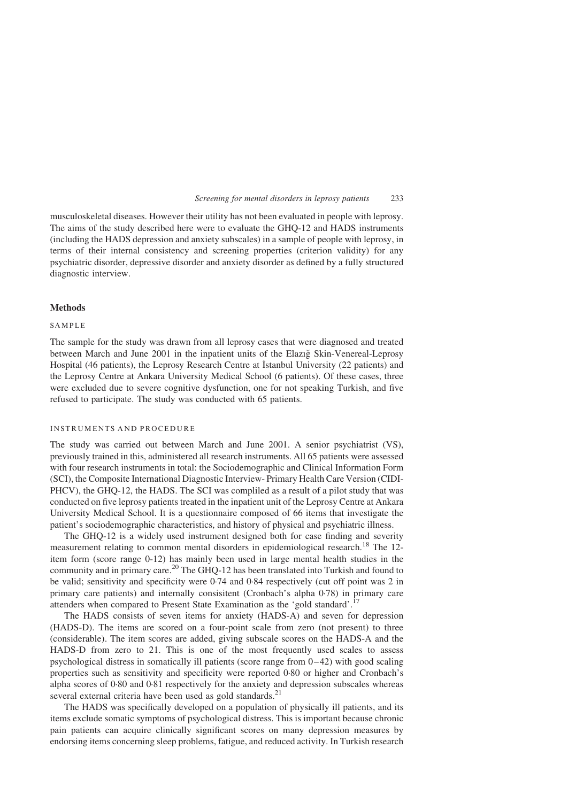musculoskeletal diseases. However their utility has not been evaluated in people with leprosy. The aims of the study described here were to evaluate the GHQ-12 and HADS instruments (including the HADS depression and anxiety subscales) in a sample of people with leprosy, in terms of their internal consistency and screening properties (criterion validity) for any psychiatric disorder, depressive disorder and anxiety disorder as defined by a fully structured diagnostic interview.

#### Methods

#### SAMPLE

The sample for the study was drawn from all leprosy cases that were diagnosed and treated between March and June 2001 in the inpatient units of the Elazig Skin-Venereal-Leprosy Hospital (46 patients), the Leprosy Research Centre at İstanbul University (22 patients) and the Leprosy Centre at Ankara University Medical School (6 patients). Of these cases, three were excluded due to severe cognitive dysfunction, one for not speaking Turkish, and five refused to participate. The study was conducted with 65 patients.

#### INSTRUMENTS AND PROCEDURE

The study was carried out between March and June 2001. A senior psychiatrist (VS), previously trained in this, administered all research instruments. All 65 patients were assessed with four research instruments in total: the Sociodemographic and Clinical Information Form (SCI), the Composite International Diagnostic Interview- Primary Health Care Version (CIDI-PHCV), the GHQ-12, the HADS. The SCI was compliled as a result of a pilot study that was conducted on five leprosy patients treated in the inpatient unit of the Leprosy Centre at Ankara University Medical School. It is a questionnaire composed of 66 items that investigate the patient's sociodemographic characteristics, and history of physical and psychiatric illness.

The GHQ-12 is a widely used instrument designed both for case finding and severity measurement relating to common mental disorders in epidemiological research.<sup>[18](#page-9-0)</sup> The 12item form (score range 0-12) has mainly been used in large mental health studies in the community and in primary care.<sup>[20](#page-9-0)</sup> The GHQ-12 has been translated into Turkish and found to be valid; sensitivity and specificity were 0·74 and 0·84 respectively (cut off point was 2 in primary care patients) and internally consisitent (Cronbach's alpha 0·78) in primary care attenders when compared to Present State Examination as the 'gold standard'.<sup>[17](#page-9-0)</sup>

The HADS consists of seven items for anxiety (HADS-A) and seven for depression (HADS-D). The items are scored on a four-point scale from zero (not present) to three (considerable). The item scores are added, giving subscale scores on the HADS-A and the HADS-D from zero to 21. This is one of the most frequently used scales to assess psychological distress in somatically ill patients (score range from 0–42) with good scaling properties such as sensitivity and specificity were reported 0·80 or higher and Cronbach's alpha scores of 0·80 and 0·81 respectively for the anxiety and depression subscales whereas several external criteria have been used as gold standards.<sup>[21](#page-9-0)</sup>

The HADS was specifically developed on a population of physically ill patients, and its items exclude somatic symptoms of psychological distress. This is important because chronic pain patients can acquire clinically significant scores on many depression measures by endorsing items concerning sleep problems, fatigue, and reduced activity. In Turkish research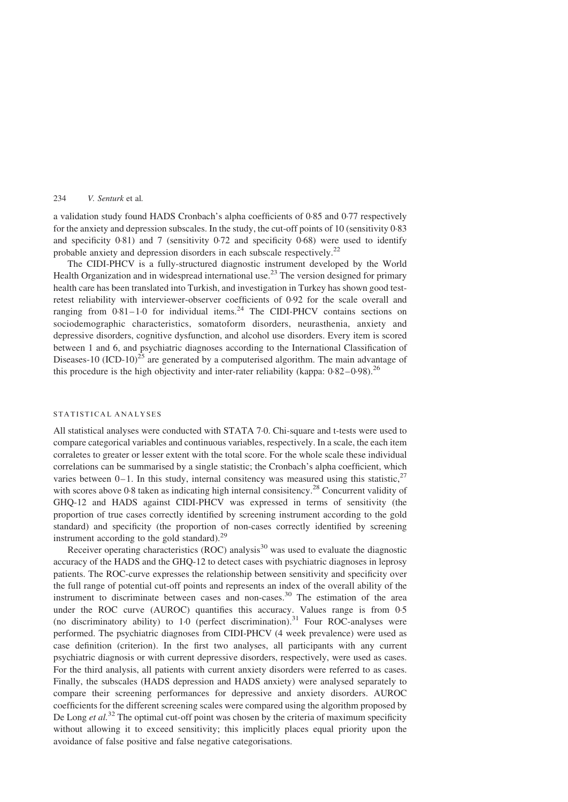a validation study found HADS Cronbach's alpha coefficients of 0·85 and 0·77 respectively for the anxiety and depression subscales. In the study, the cut-off points of 10 (sensitivity 0·83 and specificity  $0.81$ ) and 7 (sensitivity  $0.72$  and specificity  $0.68$ ) were used to identify probable anxiety and depression disorders in each subscale respectively.<sup>[22](#page-9-0)</sup>

The CIDI-PHCV is a fully-structured diagnostic instrument developed by the World Health Organization and in widespread international use.<sup>[23](#page-9-0)</sup> The version designed for primary health care has been translated into Turkish, and investigation in Turkey has shown good testretest reliability with interviewer-observer coefficients of 0·92 for the scale overall and ranging from  $0.81-1.0$  for individual items.<sup>[24](#page-9-0)</sup> The CIDI-PHCV contains sections on sociodemographic characteristics, somatoform disorders, neurasthenia, anxiety and depressive disorders, cognitive dysfunction, and alcohol use disorders. Every item is scored between 1 and 6, and psychiatric diagnoses according to the International Classification of Diseases-10  $(ICD-10)^{25}$  $(ICD-10)^{25}$  $(ICD-10)^{25}$  are generated by a computerised algorithm. The main advantage of this procedure is the high objectivity and inter-rater reliability (kappa:  $0.82-0.98$ )<sup>[26](#page-9-0)</sup>

#### STATISTICAL ANALYSES

All statistical analyses were conducted with STATA 7·0. Chi-square and t-tests were used to compare categorical variables and continuous variables, respectively. In a scale, the each item corraletes to greater or lesser extent with the total score. For the whole scale these individual correlations can be summarised by a single statistic; the Cronbach's alpha coefficient, which varies between  $0-1$ . In this study, internal consitency was measured using this statistic,  $27$ with scores above 0.8 taken as indicating high internal consisitency.<sup>[28](#page-9-0)</sup> Concurrent validity of GHQ-12 and HADS against CIDI-PHCV was expressed in terms of sensitivity (the proportion of true cases correctly identified by screening instrument according to the gold standard) and specificity (the proportion of non-cases correctly identified by screening instrument according to the gold standard). $^{29}$  $^{29}$  $^{29}$ 

Receiver operating characteristics (ROC) analysis $30$  was used to evaluate the diagnostic accuracy of the HADS and the GHQ-12 to detect cases with psychiatric diagnoses in leprosy patients. The ROC-curve expresses the relationship between sensitivity and specificity over the full range of potential cut-off points and represents an index of the overall ability of the instrument to discriminate between cases and non-cases.<sup>[30](#page-9-0)</sup> The estimation of the area under the ROC curve (AUROC) quantifies this accuracy. Values range is from 0·5 (no discriminatory ability) to  $1.0$  (perfect discrimination).<sup>[31](#page-9-0)</sup> Four ROC-analyses were performed. The psychiatric diagnoses from CIDI-PHCV (4 week prevalence) were used as case definition (criterion). In the first two analyses, all participants with any current psychiatric diagnosis or with current depressive disorders, respectively, were used as cases. For the third analysis, all patients with current anxiety disorders were referred to as cases. Finally, the subscales (HADS depression and HADS anxiety) were analysed separately to compare their screening performances for depressive and anxiety disorders. AUROC coefficients for the different screening scales were compared using the algorithm proposed by De Long et  $al^{32}$  $al^{32}$  $al^{32}$ . The optimal cut-off point was chosen by the criteria of maximum specificity without allowing it to exceed sensitivity; this implicitly places equal priority upon the avoidance of false positive and false negative categorisations.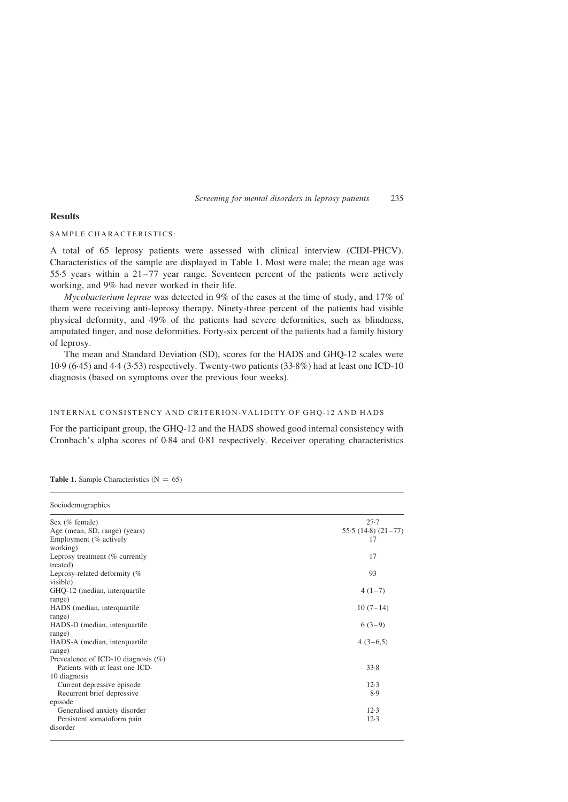#### Results

# SAMPLE CHARACTERISTICS:

A total of 65 leprosy patients were assessed with clinical interview (CIDI-PHCV). Characteristics of the sample are displayed in Table 1. Most were male; the mean age was 55·5 years within a 21–77 year range. Seventeen percent of the patients were actively working, and 9% had never worked in their life.

Mycobacterium leprae was detected in 9% of the cases at the time of study, and 17% of them were receiving anti-leprosy therapy. Ninety-three percent of the patients had visible physical deformity, and 49% of the patients had severe deformities, such as blindness, amputated finger, and nose deformities. Forty-six percent of the patients had a family history of leprosy.

The mean and Standard Deviation (SD), scores for the HADS and GHQ-12 scales were 10·9 (6·45) and 4·4 (3·53) respectively. Twenty-two patients (33·8%) had at least one ICD-10 diagnosis (based on symptoms over the previous four weeks).

#### INTERNAL CONSISTENCY AND CRITERION-VALIDITY OF GHQ-12 AND HADS

For the participant group, the GHQ-12 and the HADS showed good internal consistency with Cronbach's alpha scores of 0·84 and 0·81 respectively. Receiver operating characteristics

| Sociodemographics                                                                   |                                       |
|-------------------------------------------------------------------------------------|---------------------------------------|
| Sex $(\%$ female)<br>Age (mean, SD, range) (years)<br>Employment (% actively        | $27 - 7$<br>$55.5(14.8)(21-77)$<br>17 |
| working)<br>Leprosy treatment (% currently<br>treated)                              | 17                                    |
| Leprosy-related deformity (%<br>visible)                                            | 93                                    |
| GHQ-12 (median, interquartile<br>range)                                             | $4(1-7)$                              |
| HADS (median, interquartile<br>range)<br>HADS-D (median, interquartile              | $10(7-14)$<br>$6(3-9)$                |
| range)<br>HADS-A (median, interquartile                                             | $4(3-6,5)$                            |
| range)<br>Prevealence of ICD-10 diagnosis $(\%)$<br>Patients with at least one ICD- | 33.8                                  |
| 10 diagnosis<br>Current depressive episode                                          | 12.3                                  |
| Recurrent brief depressive<br>episode                                               | 8.9                                   |
| Generalised anxiety disorder<br>Persistent somatoform pain<br>disorder              | 12.3<br>$12-3$                        |

#### **Table 1.** Sample Characteristics  $(N = 65)$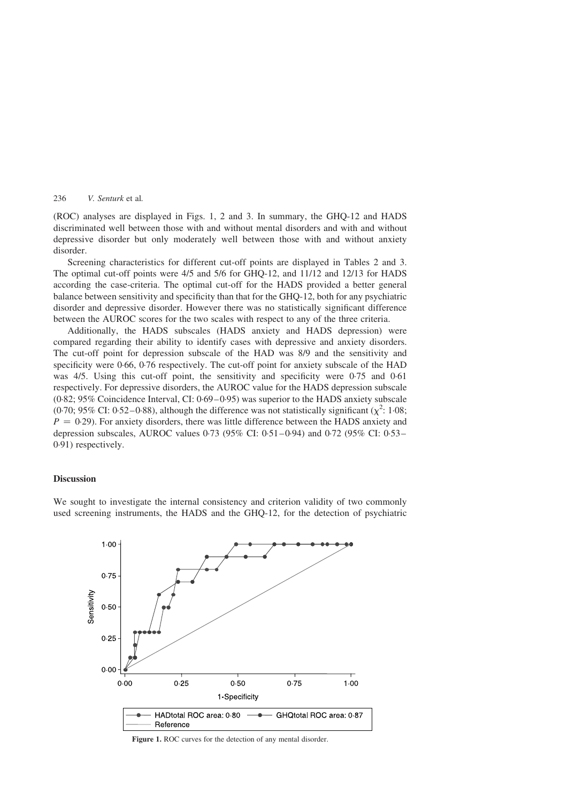(ROC) analyses are displayed in Figs. 1, 2 and 3. In summary, the GHQ-12 and HADS discriminated well between those with and without mental disorders and with and without depressive disorder but only moderately well between those with and without anxiety disorder.

Screening characteristics for different cut-off points are displayed in [Tables 2 and 3](#page-7-0). The optimal cut-off points were 4/5 and 5/6 for GHQ-12, and 11/12 and 12/13 for HADS according the case-criteria. The optimal cut-off for the HADS provided a better general balance between sensitivity and specificity than that for the GHQ-12, both for any psychiatric disorder and depressive disorder. However there was no statistically significant difference between the AUROC scores for the two scales with respect to any of the three criteria.

Additionally, the HADS subscales (HADS anxiety and HADS depression) were compared regarding their ability to identify cases with depressive and anxiety disorders. The cut-off point for depression subscale of the HAD was 8/9 and the sensitivity and specificity were 0·66, 0·76 respectively. The cut-off point for anxiety subscale of the HAD was 4/5. Using this cut-off point, the sensitivity and specificity were 0.75 and 0.61 respectively. For depressive disorders, the AUROC value for the HADS depression subscale (0·82; 95% Coincidence Interval, CI: 0·69–0·95) was superior to the HADS anxiety subscale (0.70; 95% CI: 0.5[2](#page-8-0)–0.88), although the difference was not statistically significant ( $\chi^2$ : 1.08;  $P = 0.29$ ). For anxiety disorders, there was little difference between the HADS anxiety and depression subscales, AUROC values 0·73 (95% CI: 0·51–0·94) and 0·72 (95% CI: 0·53– 0·91) respectively.

#### Discussion

We sought to investigate the internal consistency and criterion validity of two commonly used screening instruments, the HADS and the GHQ-12, for the detection of psychiatric



Figure 1. ROC curves for the detection of any mental disorder.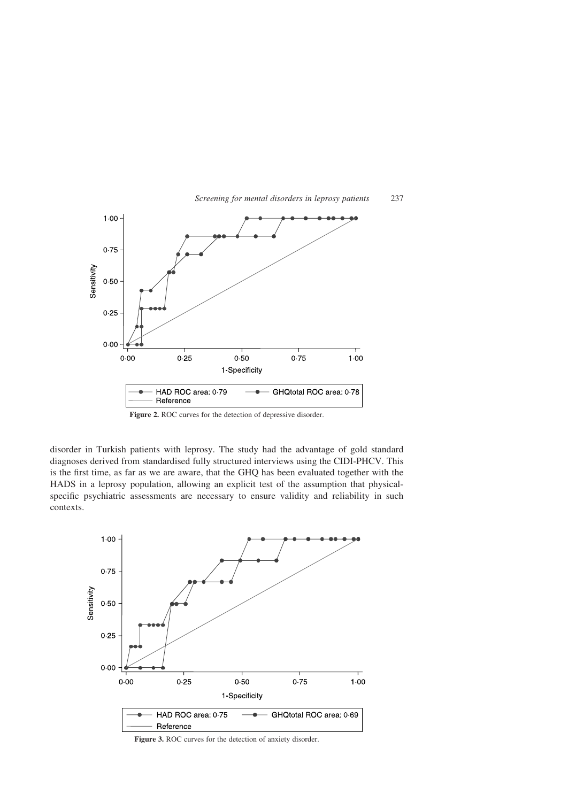

Screening for mental disorders in leprosy patients 237

Figure 2. ROC curves for the detection of depressive disorder.

disorder in Turkish patients with leprosy. The study had the advantage of gold standard diagnoses derived from standardised fully structured interviews using the CIDI-PHCV. This is the first time, as far as we are aware, that the GHQ has been evaluated together with the HADS in a leprosy population, allowing an explicit test of the assumption that physicalspecific psychiatric assessments are necessary to ensure validity and reliability in such contexts.

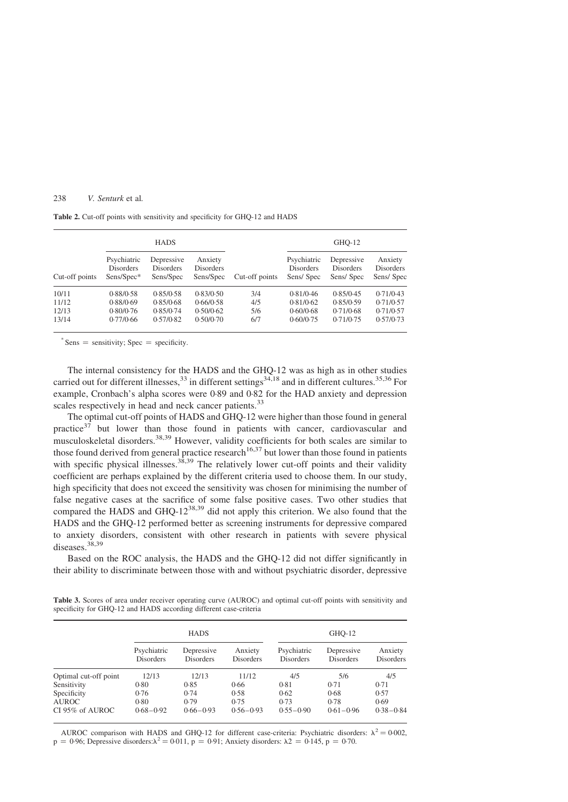<span id="page-7-0"></span>Table 2. Cut-off points with sensitivity and specificity for GHO-12 and HADS

|                | <b>HADS</b>                                   |                                             |                                          |                | GHO-12                                       |                                             |                                          |
|----------------|-----------------------------------------------|---------------------------------------------|------------------------------------------|----------------|----------------------------------------------|---------------------------------------------|------------------------------------------|
| Cut-off points | Psychiatric<br><b>Disorders</b><br>Sens/Spec* | Depressive<br><b>Disorders</b><br>Sens/Spec | Anxiety<br><b>Disorders</b><br>Sens/Spec | Cut-off points | Psychiatric<br><b>Disorders</b><br>Sens/Spec | Depressive<br><b>Disorders</b><br>Sens/Spec | Anxiety<br><b>Disorders</b><br>Sens/Spec |
| 10/11          | 0.88/0.58                                     | 0.85/0.58                                   | 0.83/0.50                                | 3/4            | 0.81/0.46                                    | 0.85/0.45                                   | 0.71/0.43                                |
| 11/12          | 0.88/0.69                                     | 0.85/0.68                                   | 0.66/0.58                                | 4/5            | 0.81/0.62                                    | 0.85/0.59                                   | 0.71/0.57                                |
| 12/13          | 0.80/0.76                                     | 0.85/0.74                                   | 0.50/0.62                                | 5/6            | 0.60/0.68                                    | 0.71/0.68                                   | 0.71/0.57                                |
| 13/14          | 0.77/0.66                                     | 0.57/0.82                                   | 0.50/0.70                                | 6/7            | 0.60/0.75                                    | 0.71/0.75                                   | 0.57/0.73                                |

 $*$  Sens = sensitivity; Spec = specificity.

The internal consistency for the HADS and the GHQ-12 was as high as in other studies carried out for different illnesses,  $33$  in different settings $34,18$  and in different cultures.  $35,36$  For example, Cronbach's alpha scores were 0·89 and 0·82 for the HAD anxiety and depression scales respectively in head and neck cancer patients.<sup>[33](#page-9-0)</sup>

The optimal cut-off points of HADS and GHQ-12 were higher than those found in general practice $37$  but lower than those found in patients with cancer, cardiovascular and musculoskeletal disorders.[38,39](#page-9-0) However, validity coefficients for both scales are similar to those found derived from general practice research<sup>[16,37](#page-9-0)</sup> but lower than those found in patients with specific physical illnesses.<sup>[38,39](#page-9-0)</sup> The relatively lower cut-off points and their validity coefficient are perhaps explained by the different criteria used to choose them. In our study, high specificity that does not exceed the sensitivity was chosen for minimising the number of false negative cases at the sacrifice of some false positive cases. Two other studies that compared the HADS and GHQ- $12^{38,39}$  $12^{38,39}$  $12^{38,39}$  did not apply this criterion. We also found that the HADS and the GHQ-12 performed better as screening instruments for depressive compared to anxiety disorders, consistent with other research in patients with severe physical diseases.<sup>[38,39](#page-9-0)</sup>

Based on the ROC analysis, the HADS and the GHQ-12 did not differ significantly in their ability to discriminate between those with and without psychiatric disorder, depressive

Table 3. Scores of area under receiver operating curve (AUROC) and optimal cut-off points with sensitivity and specificity for GHQ-12 and HADS according different case-criteria

|                       | <b>HADS</b>              |                         |                             | $GHO-12$                        |                                |                             |
|-----------------------|--------------------------|-------------------------|-----------------------------|---------------------------------|--------------------------------|-----------------------------|
|                       | Psychiatric<br>Disorders | Depressive<br>Disorders | Anxiety<br><b>Disorders</b> | Psychiatric<br><b>Disorders</b> | Depressive<br><b>Disorders</b> | Anxiety<br><b>Disorders</b> |
| Optimal cut-off point | 12/13                    | 12/13                   | 11/12                       | 4/5                             | 5/6                            | 4/5                         |
| Sensitivity           | 0.80                     | 0.85                    | 0.66                        | 0.81                            | 0.71                           | 0.71                        |
| Specificity           | 0.76                     | 0.74                    | 0.58                        | 0.62                            | 0.68                           | 0.57                        |
| <b>AUROC</b>          | 0.80                     | 0.79                    | 0.75                        | 0.73                            | 0.78                           | 0.69                        |
| CI 95% of AUROC       | $0.68 - 0.92$            | $0.66 - 0.93$           | $0.56 - 0.93$               | $0.55 - 0.90$                   | $0.61 - 0.96$                  | $0.38 - 0.84$               |

AUROC comparison with HADS and GHQ-12 for different case-criteria: Psychiatric disorders:  $\lambda^2 = 0.002$ ,  $p = 0.96$ ; Depressive disorders: $\lambda^2 = 0.011$ ,  $p = 0.91$ ; Anxiety disorders:  $\lambda^2 = 0.145$ ,  $p = 0.70$ .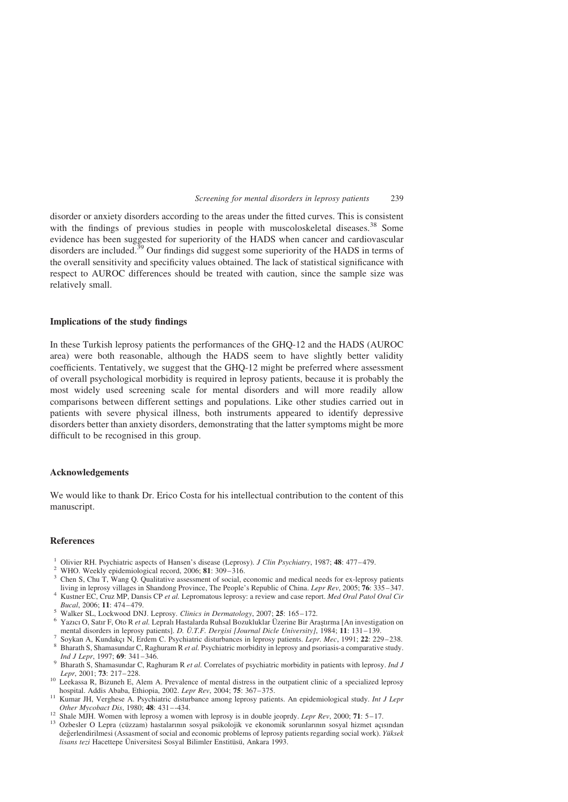<span id="page-8-0"></span>disorder or anxiety disorders according to the areas under the fitted curves. This is consistent with the findings of previous studies in people with muscoloskeletal diseases.<sup>[38](#page-9-0)</sup> Some evidence has been suggested for superiority of the HADS when cancer and cardiovascular disorders are included.<sup>[39](#page-9-0)</sup> Our findings did suggest some superiority of the HADS in terms of the overall sensitivity and specificity values obtained. The lack of statistical significance with respect to AUROC differences should be treated with caution, since the sample size was relatively small.

#### Implications of the study findings

In these Turkish leprosy patients the performances of the GHQ-12 and the HADS (AUROC area) were both reasonable, although the HADS seem to have slightly better validity coefficients. Tentatively, we suggest that the GHQ-12 might be preferred where assessment of overall psychological morbidity is required in leprosy patients, because it is probably the most widely used screening scale for mental disorders and will more readily allow comparisons between different settings and populations. Like other studies carried out in patients with severe physical illness, both instruments appeared to identify depressive disorders better than anxiety disorders, demonstrating that the latter symptoms might be more difficult to be recognised in this group.

#### Acknowledgements

We would like to thank Dr. Erico Costa for his intellectual contribution to the content of this manuscript.

#### References

- 
- 
- <sup>1</sup> Olivier RH. Psychiatric aspects of Hansen's disease (Leprosy). *J Clin Psychiatry*, 1987; **48**: 477–479.<br><sup>2</sup> WHO. Weekly epidemiological record, 2006; **81**: 309–316.<br><sup>3</sup> Chen S, Chu T, Wang Q. Qualitative assessment o
- It is in equal to the People's in Shandong Province, The People's Republic of China. Republic of China. Lepromatous leprosy: a review and case report. Med Oral Patol Oral Cir Bucal, 2006; 11: 474–479.
- 
- Bucal, 2006; 11:  $\frac{1}{20}$  Walker SL, Lockwood DNJ. Leprosy. Clinics in Dermatology, 2007; 25: 165–172.<br>6 Yazıcı O, Satır F, Oto R et al. Lepralı Hastalarda Ruhsal Bozukluklar Üzerine Bir Arastırma [An investigation on m
- 
- Figure 1991; 22: 229–238.<br>
Soykan A, Kundakçı N, Erdem C. Psychiatric disturbances in leprosy patients. Lepr. Mec, 1991; 22: 229–238.<br>
<sup>8</sup> Bharath S, Shamasundar C, Raghuram R et al. Psychiatric morbidity in leprosy and ps
- Ind J Lepr, 1997; 69: 341–346.<br>
<sup>9</sup> Bharath S, Shamasundar C, Raghuram R *et al.* Correlates of psychiatric morbidity in patients with leprosy. *Ind J* Lepr, 2001; **73**: 217–228.
- Leekassa R, Bizuneh E, Alem A. Prevalence of mental distress in the outpatient clinic of a specialized leprosy<br>hospital. Addis Ababa, Ethiopia, 2002. Lepr Rev, 2004; 75: 367–375.
- <sup>11</sup> Kumar JH, Verghese A. Psychiatric disturbance among leprosy patients. An epidemiological study. *Int J Lepr Other Mycobact Dis*, 1980; **48:** 431–-434.
- 
- <sup>12</sup> Shale MJH. Women with leprosy a women with leprosy is in double jeoprdy. *Lepr Rev*, 2000; **71**: 5–17.<br><sup>13</sup> Ozbesler O Lepra (cüzzam) hastalarının sosyal psikolojik ve ekonomik sorunlarının sosyal hizmet açısından değerlendirilmesi (Assasment of social and economic problems of leprosy patients regarding social work). Yüksek lisans tezi Hacettepe Üniversitesi Sosyal Bilimler Enstitüsü, Ankara 1993.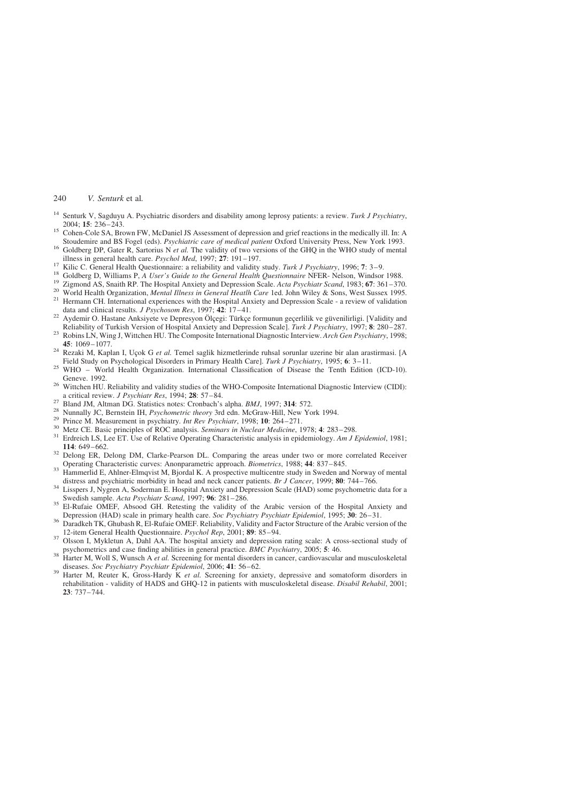- <span id="page-9-0"></span><sup>14</sup> Senturk V, Sagduyu A. Psychiatric disorders and disability among leprosy patients: a review. Turk J Psychiatry, 2004; **15**: 236–243.
- <sup>15</sup> Cohen-Cole SA, Brown FW, McDaniel JS Assessment of depression and grief reactions in the medically ill. In: A Stoudemire and BS Fogel (eds). *Psychiatric care of medical patient* Oxford University Press, New York 1993
- <sup>16</sup> Goldberg DP, Gater R, Sartorius N *et al.* The validity of two versions of the GHQ in the WHO study of mental illness in general health care. *Psychol Med*, 1997; 27: 191–197.
- 
- 
- 
- <sup>17</sup> Kilic C. General Health Questionnaire: a reliability and validity study. Turk J Psychiatry, 1996; 7: 3–9.<br><sup>18</sup> Goldberg D, Williams P, *A User's Guide to the General Health Questionnaire* NFER-Nelson, Windsor 1988.<br><sup></sup>
- data and cumen country respulses. The press on Olgegi: Türkçe formunun geçerlilik ve güvenilirligi. [Validity and<br>Reliability of Turkish Version of Hospital Anxiety and Depression Scalel. Turk J Psychiatry. 1997; 8: 280–2
- 23 Robins LN, Wing J, Wittchen HU. The Composite International Diagnostic Interview. Arch Gen Psychiatry, 1998;<br>45: 1069–1077.
- <sup>24</sup> Rezaki M, Kaplan I, Uçok G et al. Temel saglik hizmetlerinde ruhsal sorunlar uzerine bir alan arastirmasi. [A Field Study on Psychological Disorders in Primary Health Care]. Turk J Psychiatry, 1995; 6: 3–11.
- <sup>25</sup> WHO World Health Organization. International Classification of Disease the Tenth Edition (ICD-10).
- Geneve. 1992.<br><sup>26</sup> Wittchen HU. Reliability and validity studies of the WHO-Composite International Diagnostic Interview (CIDI):<br>a critical review. *J Psychiatr Res*, 1994; **28**: 57–84.
- 
- 
- 
- 
- <sup>27</sup> Bland JM, Altman DG. Statistics notes: Corobach's alpha. *BMJ*, 1997; **314**: 572.<br><sup>28</sup> Nunnally JC, Bernstein IH, *Psychometric theory* 3rd edn. McGraw-Hill, New York 1994.<br><sup>29</sup> Prince M. Measurement in psychiatry. *I*
- <sup>32</sup> Delong ER, Delong DM, Clarke-Pearson DL. Comparing the areas under two or more correlated Receiver
- Operating Characteristic curves: Anonparametric approach. *Biometrics*, 1988; 44: 837–845.<br>33 Hammerlid E, Ahlner-Elmqvist M, Bjordal K. A prospective multicentre study in Sweden and Norway of mental<br>distress and psychiatr
- distress and psychiatric more more more more more in the neck cancer patients. Br J Cancer patients. Br 30: 74<br>Swedish sample. Acta Psychiatr Scand, 1997; 96: 281–286.
- <sup>35</sup> El-Rufaie OMEF, Absood GH. Retesting the validity of the Arabic version of the Hospital Anxiety and
- Depression (HAD) scale in primary health care. Soc Psychiatry Psychiatr Epidemiol, 1995; 30: 26–31.<br><sup>36</sup> Daradkeh TK, Ghubash R, El-Rufaie OMEF. Reliability, Validity and Factor Structure of the Arabic version of the<br>12-it
- <sup>37</sup> Olsson I, Mykletun A, Dahl AA. The hospital anxiety and depression rating scale: A cross-sectional study of psychometrics and case finding abilities in general practice. *BMC Psychiatry*, 2005; 5: 46.
- psychometric M, Woll S, Wunsch A et al. Screening for mental disorders in cancer, cardiovascular and musculoskeletal<br>diseases. Soc Psychiatry Psychiatr Epidemiol, 2006; 41: 56–62.
- $^{39}$  Harter M, Reuter K, Gross-Hardy K *et al.* Screening for anxiety, depressive and somatoform disorders in rehabilitation - validity of HADS and GHQ-12 in patients with musculoskeletal disease. Disabil Rehabil, 2001; 23: 737–744.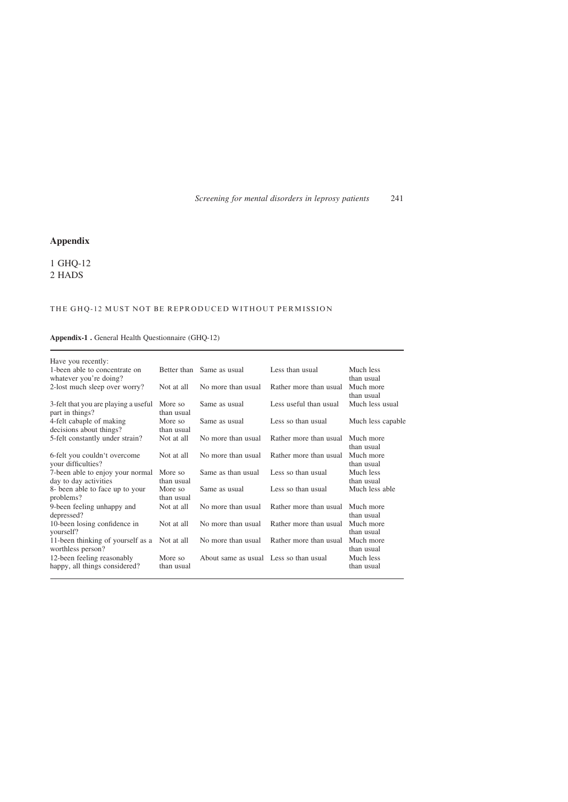# Appendix

1 GHQ-12 2 HADS

# THE GHQ-12 MUST NOT BE REPRODUCED WITHOUT PERMISSION

# Appendix-1 . General Health Questionnaire (GHQ-12)

| Have you recently:                                          |                       |                                        |                        |                         |
|-------------------------------------------------------------|-----------------------|----------------------------------------|------------------------|-------------------------|
| 1-been able to concentrate on<br>whatever you're doing?     |                       | Better than Same as usual              | Less than usual        | Much less<br>than usual |
| 2-lost much sleep over worry?                               | Not at all            | No more than usual                     | Rather more than usual | Much more<br>than usual |
| 3-felt that you are playing a useful<br>part in things?     | More so<br>than usual | Same as usual                          | Less useful than usual | Much less usual         |
| 4-felt cabaple of making<br>decisions about things?         | More so<br>than usual | Same as usual                          | Less so than usual     | Much less capable       |
| 5-felt constantly under strain?                             | Not at all            | No more than usual                     | Rather more than usual | Much more<br>than usual |
| 6-felt you couldn't overcome<br>your difficulties?          | Not at all            | No more than usual                     | Rather more than usual | Much more<br>than usual |
| 7-been able to enjoy your normal<br>day to day activities   | More so<br>than usual | Same as than usual                     | Less so than usual     | Much less<br>than usual |
| 8- been able to face up to your<br>problems?                | More so<br>than usual | Same as usual                          | Less so than usual     | Much less able          |
| 9-been feeling unhappy and<br>depressed?                    | Not at all            | No more than usual                     | Rather more than usual | Much more<br>than usual |
| 10-been losing confidence in<br>yourself?                   | Not at all            | No more than usual                     | Rather more than usual | Much more<br>than usual |
| 11-been thinking of yourself as a<br>worthless person?      | Not at all            | No more than usual                     | Rather more than usual | Much more<br>than usual |
| 12-been feeling reasonably<br>happy, all things considered? | More so<br>than usual | About same as usual Less so than usual |                        | Much less<br>than usual |
|                                                             |                       |                                        |                        |                         |